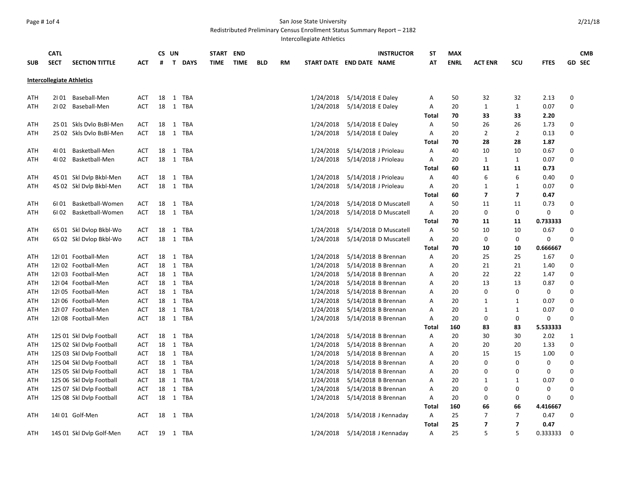# Page # 1of 4 San Jose State University

Redistributed Preliminary Census Enrollment Status Summary Report – 2182

Intercollegiate Athletics

| <b>SUB</b> | <b>CATL</b><br><b>SECT</b> | <b>SECTION TITTLE</b>            | <b>ACT</b> | #  | CS UN<br>T.  | <b>DAYS</b> | START<br>TIME | <b>END</b><br><b>TIME</b> | <b>BLD</b> | RM |           | <b>INSTRUCTOR</b><br>START DATE END DATE NAME | <b>ST</b><br>АТ | <b>MAX</b><br><b>ENRL</b> | <b>ACT ENR</b>          | <b>SCU</b>               | <b>FTES</b>      | <b>CMB</b><br><b>GD SEC</b> |
|------------|----------------------------|----------------------------------|------------|----|--------------|-------------|---------------|---------------------------|------------|----|-----------|-----------------------------------------------|-----------------|---------------------------|-------------------------|--------------------------|------------------|-----------------------------|
|            |                            | <b>Intercollegiate Athletics</b> |            |    |              |             |               |                           |            |    |           |                                               |                 |                           |                         |                          |                  |                             |
| ATH        |                            | 2101 Baseball-Men                | <b>ACT</b> | 18 | 1            | TBA         |               |                           |            |    | 1/24/2018 | 5/14/2018 E Daley                             | A               | 50                        | 32                      | 32                       | 2.13             | 0                           |
| ATH        | 2102                       | Baseball-Men                     | <b>ACT</b> | 18 | $\mathbf{1}$ | TBA         |               |                           |            |    | 1/24/2018 | 5/14/2018 E Daley                             | Α               | 20                        | $\mathbf{1}$            | $\mathbf{1}$             | 0.07             | $\mathbf 0$                 |
|            |                            |                                  |            |    |              |             |               |                           |            |    |           |                                               | Total           | 70                        | 33                      | 33                       | 2.20             |                             |
| ATH        |                            | 2S 01 Skls Dvlo BsBl-Men         | <b>ACT</b> | 18 | 1            | TBA         |               |                           |            |    | 1/24/2018 | 5/14/2018 E Daley                             | A               | 50                        | 26                      | 26                       | 1.73             | 0                           |
| ATH        |                            | 2S 02 Skls Dvlo BsBl-Men         | <b>ACT</b> | 18 | $\mathbf{1}$ | TBA         |               |                           |            |    | 1/24/2018 | 5/14/2018 E Daley                             | Α               | 20                        | $\overline{2}$          | $\overline{2}$           | 0.13             | $\mathbf 0$                 |
|            |                            |                                  |            |    |              |             |               |                           |            |    |           |                                               | <b>Total</b>    | 70                        | 28                      | 28                       | 1.87             |                             |
| ATH        | 41 01                      | Basketball-Men                   | <b>ACT</b> | 18 | 1            | TBA         |               |                           |            |    | 1/24/2018 | 5/14/2018 J Prioleau                          | Α               | 40                        | 10                      | 10                       | 0.67             | 0                           |
| ATH        | 4102                       | Basketball-Men                   | <b>ACT</b> | 18 | $\mathbf{1}$ | TBA         |               |                           |            |    | 1/24/2018 | 5/14/2018 J Prioleau                          | Α               | 20                        | $\mathbf{1}$            | $\mathbf{1}$             | 0.07             | $\mathbf 0$                 |
|            |                            |                                  |            |    |              |             |               |                           |            |    |           |                                               | Total           | 60                        | 11                      | 11                       | 0.73             |                             |
| ATH        |                            | 4S 01 Skl Dvlp Bkbl-Men          | <b>ACT</b> | 18 | $\mathbf{1}$ | TBA         |               |                           |            |    | 1/24/2018 | 5/14/2018 J Prioleau                          | Α               | 40                        | 6                       | 6                        | 0.40             | 0                           |
| ATH        |                            | 4S 02 Skl Dvlp Bkbl-Men          | <b>ACT</b> | 18 | 1            | TBA         |               |                           |            |    | 1/24/2018 | 5/14/2018 J Prioleau                          | Α               | 20                        | $\mathbf{1}$            | $\mathbf{1}$             | 0.07             | $\mathbf 0$                 |
|            |                            |                                  |            |    |              |             |               |                           |            |    |           |                                               | <b>Total</b>    | 60                        | $\overline{\mathbf{z}}$ | 7                        | 0.47             |                             |
| ATH        | 6I 01                      | Basketball-Women                 | <b>ACT</b> | 18 | $\mathbf{1}$ | TBA         |               |                           |            |    | 1/24/2018 | 5/14/2018 D Muscatell                         | Α               | 50                        | 11                      | 11                       | 0.73             | $\mathbf 0$                 |
| ATH        | 6102                       | Basketball-Women                 | <b>ACT</b> | 18 | 1            | <b>TBA</b>  |               |                           |            |    | 1/24/2018 | 5/14/2018 D Muscatell                         | Α               | 20                        | 0                       | 0                        | $\mathbf 0$      | $\Omega$                    |
|            |                            |                                  |            |    |              |             |               |                           |            |    |           |                                               | <b>Total</b>    | 70                        | 11                      | 11                       | 0.733333         |                             |
| ATH        |                            | 6S 01 Skl Dvlop Bkbl-Wo          | <b>ACT</b> | 18 |              | 1 TBA       |               |                           |            |    | 1/24/2018 | 5/14/2018 D Muscatell                         | Α               | 50                        | 10                      | 10                       | 0.67             | 0                           |
| ATH        |                            | 6S 02 Skl Dvlop Bkbl-Wo          | <b>ACT</b> | 18 |              | 1 TBA       |               |                           |            |    | 1/24/2018 | 5/14/2018 D Muscatell                         | Α               | 20                        | 0                       | 0                        | 0                | $\Omega$                    |
|            |                            |                                  |            |    |              |             |               |                           |            |    |           |                                               | <b>Total</b>    | 70                        | 10                      | 10                       | 0.666667         |                             |
| ATH        |                            | 12I 01 Football-Men              | <b>ACT</b> | 18 | $\mathbf{1}$ | TBA         |               |                           |            |    | 1/24/2018 | 5/14/2018 B Brennan                           | Α               | 20                        | 25                      | 25                       | 1.67             | 0                           |
| ATH        |                            | 12I 02 Football-Men              | <b>ACT</b> | 18 | 1            | TBA         |               |                           |            |    | 1/24/2018 | 5/14/2018 B Brennan                           | Α               | 20                        | 21                      | 21                       | 1.40             | 0                           |
| ATH        |                            | 12I 03 Football-Men              | <b>ACT</b> | 18 | 1            | TBA         |               |                           |            |    | 1/24/2018 | 5/14/2018 B Brennan                           | Α               | 20                        | 22                      | 22                       | 1.47             | 0                           |
| ATH        |                            | 12I 04 Football-Men              | <b>ACT</b> | 18 |              | 1 TBA       |               |                           |            |    | 1/24/2018 | 5/14/2018 B Brennan                           | A               | 20                        | 13                      | 13                       | 0.87             | $\mathbf 0$                 |
| ATH        |                            | 12I 05 Football-Men              | <b>ACT</b> | 18 | $\mathbf{1}$ | TBA         |               |                           |            |    | 1/24/2018 | 5/14/2018 B Brennan                           | A               | 20                        | 0                       | 0                        | $\mathbf 0$      | 0                           |
| ATH        |                            | 12I 06 Football-Men              | <b>ACT</b> | 18 | $\mathbf{1}$ | <b>TBA</b>  |               |                           |            |    | 1/24/2018 | 5/14/2018 B Brennan                           | Α               | 20                        | $\mathbf{1}$            | $\mathbf{1}$             | 0.07             | $\mathbf 0$                 |
| ATH        |                            | 12I 07 Football-Men              | ACT        | 18 |              | 1 TBA       |               |                           |            |    | 1/24/2018 | 5/14/2018 B Brennan                           | Α               | 20                        | $\mathbf{1}$            | 1                        | 0.07             | $\Omega$                    |
| ATH        |                            | 12I 08 Football-Men              | <b>ACT</b> | 18 |              | 1 TBA       |               |                           |            |    | 1/24/2018 | 5/14/2018 B Brennan                           | Α               | 20                        | 0                       | 0                        | 0                | $\Omega$                    |
|            |                            |                                  |            |    |              |             |               |                           |            |    |           |                                               | Total           | 160                       | 83                      | 83                       | 5.533333         |                             |
| ATH        |                            | 12S 01 Skl Dvlp Football         | <b>ACT</b> | 18 |              | 1 TBA       |               |                           |            |    | 1/24/2018 | 5/14/2018 B Brennan                           | Α               | 20                        | 30                      | 30                       | 2.02             | 1                           |
| ATH        |                            | 12S 02 Skl Dvlp Football         | <b>ACT</b> | 18 | $\mathbf{1}$ | TBA         |               |                           |            |    | 1/24/2018 | 5/14/2018 B Brennan                           | Α               | 20                        | 20                      | 20                       | 1.33             | $\mathbf 0$                 |
| ATH        |                            | 12S 03 Skl Dvlp Football         | ACT        | 18 |              | 1 TBA       |               |                           |            |    | 1/24/2018 | 5/14/2018 B Brennan                           | A               | 20                        | 15                      | 15                       | 1.00             | $\mathbf 0$                 |
| ATH        |                            | 12S 04 Skl Dvlp Football         | ACT        | 18 | 1            | <b>TBA</b>  |               |                           |            |    | 1/24/2018 | 5/14/2018 B Brennan                           | Α               | 20                        | 0                       | 0                        | 0                | 0                           |
| ATH        |                            | 12S 05 Skl Dvlp Football         | ACT        | 18 |              | 1 TBA       |               |                           |            |    | 1/24/2018 | 5/14/2018 B Brennan                           | Α               | 20                        | 0                       | $\Omega$                 | 0                | $\mathbf 0$                 |
| ATH        |                            | 12S 06 Skl Dvlp Football         | <b>ACT</b> | 18 |              | 1 TBA       |               |                           |            |    | 1/24/2018 | 5/14/2018 B Brennan                           | Α               | 20                        | 1                       | 1                        | 0.07             | $\mathbf 0$                 |
| ATH        |                            | 12S 07 Skl Dvlp Football         | ACT        | 18 | $\mathbf{1}$ | TBA         |               |                           |            |    | 1/24/2018 | 5/14/2018 B Brennan                           | Α               | 20                        | 0<br>0                  | 0                        | 0                | $\mathbf 0$<br>$\Omega$     |
| ATH        |                            | 12S 08 Skl Dvlp Football         | <b>ACT</b> | 18 |              | 1 TBA       |               |                           |            |    | 1/24/2018 | 5/14/2018 B Brennan                           | Α               | 20                        |                         | 0                        | $\mathbf 0$      |                             |
|            |                            | 14l 01 Golf-Men                  | <b>ACT</b> | 18 |              | 1 TBA       |               |                           |            |    |           | 5/14/2018 J Kennaday                          | Total<br>Α      | 160<br>25                 | 66<br>$\overline{7}$    | 66<br>$\overline{7}$     | 4.416667<br>0.47 | $\mathbf 0$                 |
| ATH        |                            |                                  |            |    |              |             |               |                           |            |    | 1/24/2018 |                                               | Total           | 25                        | 7                       | $\overline{\phantom{a}}$ | 0.47             |                             |
| ATH        |                            | 14S 01 Skl Dvlp Golf-Men         | <b>ACT</b> | 19 |              | 1 TBA       |               |                           |            |    | 1/24/2018 | 5/14/2018 J Kennaday                          | A               | 25                        | 5                       | 5                        | 0.333333         | $\Omega$                    |
|            |                            |                                  |            |    |              |             |               |                           |            |    |           |                                               |                 |                           |                         |                          |                  |                             |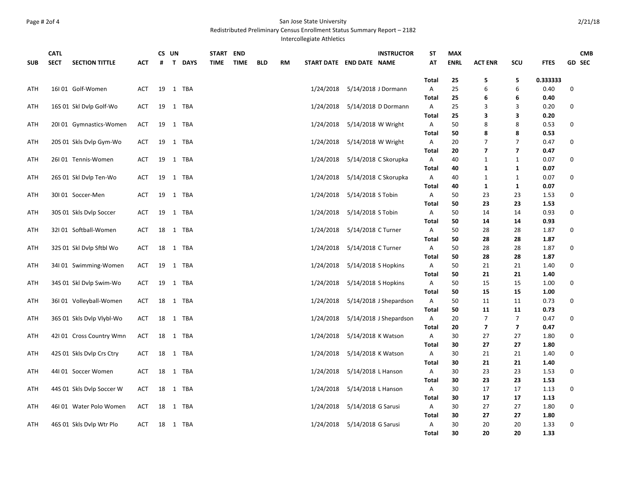#### Page # 2of 4 San Jose State University Redistributed Preliminary Census Enrollment Status Summary Report – 2182

Intercollegiate Athletics

|            | <b>CATL</b> |                           |            |    | CS UN        |             | START       | <b>END</b>  |            |           |                          |                    | <b>INSTRUCTOR</b>      | <b>ST</b>         | <b>MAX</b>  |                          |                         |              |   | <b>CMB</b> |
|------------|-------------|---------------------------|------------|----|--------------|-------------|-------------|-------------|------------|-----------|--------------------------|--------------------|------------------------|-------------------|-------------|--------------------------|-------------------------|--------------|---|------------|
| <b>SUB</b> | <b>SECT</b> | <b>SECTION TITTLE</b>     | <b>ACT</b> | #  | $\mathbf{T}$ | <b>DAYS</b> | <b>TIME</b> | <b>TIME</b> | <b>BLD</b> | <b>RM</b> | START DATE END DATE NAME |                    |                        | AT                | <b>ENRL</b> | <b>ACT ENR</b>           | SCU                     | <b>FTES</b>  |   | GD SEC     |
|            |             |                           |            |    |              |             |             |             |            |           |                          |                    |                        |                   |             |                          |                         |              |   |            |
|            |             |                           |            |    |              |             |             |             |            |           |                          |                    |                        | Total             | 25          | 5                        | 5                       | 0.333333     |   |            |
| ATH        |             | 16I 01 Golf-Women         | <b>ACT</b> | 19 |              | 1 TBA       |             |             |            |           | 1/24/2018                |                    | 5/14/2018 J Dormann    | A                 | 25          | 6                        | 6                       | 0.40         | 0 |            |
|            |             |                           |            |    |              |             |             |             |            |           |                          |                    |                        | <b>Total</b>      | 25          | 6                        | 6                       | 0.40         |   |            |
| ATH        |             | 16S 01 Skl Dvlp Golf-Wo   | <b>ACT</b> |    |              | 19 1 TBA    |             |             |            |           | 1/24/2018                |                    | 5/14/2018 D Dormann    | Α                 | 25          | 3                        | 3                       | 0.20         | 0 |            |
|            |             |                           |            |    |              |             |             |             |            |           |                          |                    |                        | Total             | 25          | 3                        | 3                       | 0.20         |   |            |
| ATH        |             | 20101 Gymnastics-Women    | <b>ACT</b> | 19 |              | 1 TBA       |             |             |            |           | 1/24/2018                |                    | 5/14/2018 W Wright     | Α                 | 50          | 8                        | 8                       | 0.53         | 0 |            |
|            |             |                           |            |    |              |             |             |             |            |           |                          |                    |                        | <b>Total</b>      | 50          | 8                        | 8                       | 0.53         |   |            |
| ATH        |             | 20S 01 Skls Dvlp Gym-Wo   | <b>ACT</b> | 19 |              | 1 TBA       |             |             |            |           | 1/24/2018                |                    | 5/14/2018 W Wright     | Α                 | 20          | 7                        | $\overline{7}$          | 0.47         | 0 |            |
|            |             |                           |            |    |              |             |             |             |            |           |                          |                    |                        | <b>Total</b>      | 20          | $\overline{\phantom{a}}$ | $\overline{7}$          | 0.47         |   |            |
| ATH        |             | 26I 01 Tennis-Women       | ACT        | 19 |              | 1 TBA       |             |             |            |           | 1/24/2018                |                    | 5/14/2018 C Skorupka   | A                 | 40          | 1                        | $\mathbf{1}$            | 0.07         | 0 |            |
|            |             |                           |            |    |              |             |             |             |            |           |                          |                    |                        | <b>Total</b>      | 40          | 1                        | 1                       | 0.07         |   |            |
| ATH        |             | 26S 01 Skl Dvlp Ten-Wo    | <b>ACT</b> | 19 |              | 1 TBA       |             |             |            |           | 1/24/2018                |                    | 5/14/2018 C Skorupka   | A                 | 40          | $\mathbf{1}$             | $\mathbf{1}$            | 0.07         | 0 |            |
|            |             |                           | <b>ACT</b> |    |              | 1 TBA       |             |             |            |           | 1/24/2018                | 5/14/2018 S Tobin  |                        | <b>Total</b>      | 40<br>50    | 1<br>23                  | $\mathbf{1}$            | 0.07<br>1.53 | 0 |            |
| ATH        |             | 30I 01 Soccer-Men         |            | 19 |              |             |             |             |            |           |                          |                    |                        | Α                 |             |                          | 23                      |              |   |            |
| ATH        |             |                           | <b>ACT</b> | 19 |              | 1 TBA       |             |             |            |           | 1/24/2018                | 5/14/2018 S Tobin  |                        | <b>Total</b><br>Α | 50<br>50    | 23<br>14                 | 23<br>14                | 1.53<br>0.93 | 0 |            |
|            |             | 30S 01 Skls Dvlp Soccer   |            |    |              |             |             |             |            |           |                          |                    |                        | <b>Total</b>      | 50          | 14                       | 14                      | 0.93         |   |            |
| ATH        |             | 32I 01 Softball-Women     | ACT        | 18 |              | 1 TBA       |             |             |            |           | 1/24/2018                | 5/14/2018 C Turner |                        | Α                 | 50          | 28                       | 28                      | 1.87         | 0 |            |
|            |             |                           |            |    |              |             |             |             |            |           |                          |                    |                        | Total             | 50          | 28                       | 28                      | 1.87         |   |            |
| ATH        |             | 32S 01 Skl Dvlp Sftbl Wo  | ACT        | 18 |              | 1 TBA       |             |             |            |           | 1/24/2018                | 5/14/2018 C Turner |                        | A                 | 50          | 28                       | 28                      | 1.87         | 0 |            |
|            |             |                           |            |    |              |             |             |             |            |           |                          |                    |                        | <b>Total</b>      | 50          | 28                       | 28                      | 1.87         |   |            |
| ATH        |             | 34I 01 Swimming-Women     | <b>ACT</b> | 19 |              | 1 TBA       |             |             |            |           | 1/24/2018                |                    | 5/14/2018 S Hopkins    | A                 | 50          | 21                       | 21                      | 1.40         | 0 |            |
|            |             |                           |            |    |              |             |             |             |            |           |                          |                    |                        | <b>Total</b>      | 50          | 21                       | 21                      | 1.40         |   |            |
| ATH        |             | 34S 01 Skl Dvlp Swim-Wo   | <b>ACT</b> | 19 |              | 1 TBA       |             |             |            |           | 1/24/2018                |                    | 5/14/2018 S Hopkins    | А                 | 50          | 15                       | 15                      | 1.00         | 0 |            |
|            |             |                           |            |    |              |             |             |             |            |           |                          |                    |                        | Total             | 50          | 15                       | 15                      | 1.00         |   |            |
| ATH        |             | 36I 01 Volleyball-Women   | ACT        | 18 |              | 1 TBA       |             |             |            |           | 1/24/2018                |                    | 5/14/2018 J Shepardson | A                 | 50          | 11                       | 11                      | 0.73         | 0 |            |
|            |             |                           |            |    |              |             |             |             |            |           |                          |                    |                        | <b>Total</b>      | 50          | 11                       | 11                      | 0.73         |   |            |
| ATH        |             | 36S 01 Skls Dvlp Vlybl-Wo | <b>ACT</b> | 18 |              | 1 TBA       |             |             |            |           | 1/24/2018                |                    | 5/14/2018 J Shepardson | Α                 | 20          | $\overline{7}$           | $\overline{7}$          | 0.47         | 0 |            |
|            |             |                           |            |    |              |             |             |             |            |           |                          |                    |                        | Total             | 20          | $\overline{\phantom{a}}$ | $\overline{\mathbf{z}}$ | 0.47         |   |            |
| ATH        |             | 42I 01 Cross Country Wmn  | <b>ACT</b> | 18 |              | 1 TBA       |             |             |            |           | 1/24/2018                |                    | 5/14/2018 K Watson     | A                 | 30          | 27                       | 27                      | 1.80         | 0 |            |
|            |             |                           |            |    |              |             |             |             |            |           |                          |                    |                        | <b>Total</b>      | 30          | 27                       | 27                      | 1.80         |   |            |
| ATH        |             | 42S 01 Skls Dvlp Crs Ctry | <b>ACT</b> | 18 |              | 1 TBA       |             |             |            |           | 1/24/2018                |                    | 5/14/2018 K Watson     | A                 | 30          | 21                       | 21                      | 1.40         | 0 |            |
|            |             |                           |            |    |              |             |             |             |            |           |                          |                    |                        | <b>Total</b>      | 30          | 21                       | 21                      | 1.40         |   |            |
| ATH        |             | 44I 01 Soccer Women       | <b>ACT</b> | 18 |              | 1 TBA       |             |             |            |           | 1/24/2018                |                    | 5/14/2018 L Hanson     | A                 | 30          | 23                       | 23                      | 1.53         | 0 |            |
|            |             |                           |            |    |              |             |             |             |            |           |                          |                    |                        | <b>Total</b>      | 30          | 23                       | 23                      | 1.53         |   |            |
| ATH        |             | 44S 01 Skls Dvlp Soccer W | <b>ACT</b> | 18 |              | 1 TBA       |             |             |            |           | 1/24/2018                |                    | 5/14/2018 L Hanson     | Α                 | 30          | 17                       | 17                      | 1.13         | 0 |            |
|            |             |                           |            |    |              |             |             |             |            |           |                          |                    |                        | <b>Total</b>      | 30          | 17                       | 17                      | 1.13         |   |            |
| ATH        |             | 46101 Water Polo Women    | <b>ACT</b> | 18 |              | 1 TBA       |             |             |            |           | 1/24/2018                | 5/14/2018 G Sarusi |                        | Α                 | 30          | 27                       | 27                      | 1.80         | 0 |            |
|            |             |                           |            |    |              |             |             |             |            |           |                          |                    |                        | Total             | 30          | 27                       | 27                      | 1.80         |   |            |
| ATH        |             | 46S 01 Skls Dvlp Wtr Plo  | <b>ACT</b> |    |              | 18 1 TBA    |             |             |            |           | 1/24/2018                | 5/14/2018 G Sarusi |                        | A                 | 30          | 20                       | 20                      | 1.33         | 0 |            |
|            |             |                           |            |    |              |             |             |             |            |           |                          |                    |                        | Total             | 30          | 20                       | 20                      | 1.33         |   |            |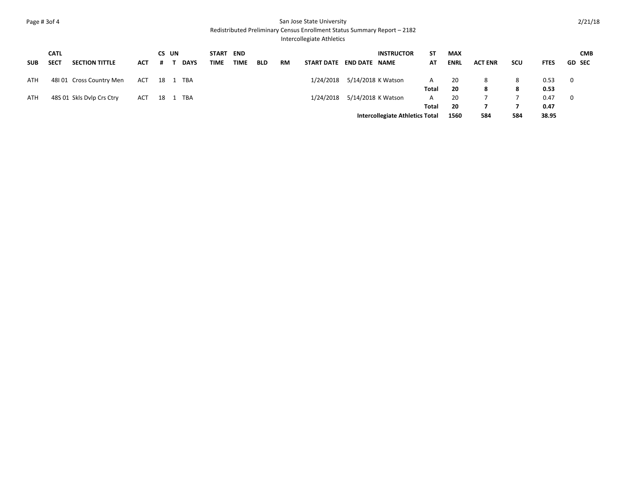## Page # 3of 4 San Jose State University

Redistributed Preliminary Census Enrollment Status Summary Report – 2182

## Intercollegiate Athletics

|            | <b>CATL</b> |                           |     | CS UN |             | START END   |             |            |           |                          |                              | <b>INSTRUCTOR</b>                      | SΤ    | <b>MAX</b>  |                |            |             | <b>CMB</b>     |
|------------|-------------|---------------------------|-----|-------|-------------|-------------|-------------|------------|-----------|--------------------------|------------------------------|----------------------------------------|-------|-------------|----------------|------------|-------------|----------------|
| <b>SUB</b> | <b>SECT</b> | <b>SECTION TITTLE</b>     | ACT | #     | <b>DAYS</b> | <b>TIME</b> | <b>TIME</b> | <b>BLD</b> | <b>RM</b> | START DATE END DATE NAME |                              |                                        | AT    | <b>ENRL</b> | <b>ACT ENR</b> | <b>SCU</b> | <b>FTES</b> | <b>GD SEC</b>  |
| <b>ATH</b> |             | 48101 Cross Country Men   | ACT | 18 1  | TBA         |             |             |            |           |                          | 1/24/2018 5/14/2018 K Watson |                                        | A     | 20          | 8              | 8          | 0.53        | $\overline{0}$ |
|            |             |                           |     |       |             |             |             |            |           |                          |                              |                                        | Total | 20          | 8              | 8          | 0.53        |                |
| ATH        |             | 48S 01 Skls Dylp Crs Ctry | ACT |       | 18 1 TBA    |             |             |            |           |                          | 1/24/2018 5/14/2018 K Watson |                                        | A     | 20          |                |            | 0.47        | $\mathbf{O}$   |
|            |             |                           |     |       |             |             |             |            |           |                          |                              |                                        | Total | -20         |                |            | 0.47        |                |
|            |             |                           |     |       |             |             |             |            |           |                          |                              | <b>Intercollegiate Athletics Total</b> |       | 1560        | 584            | 584        | 38.95       |                |